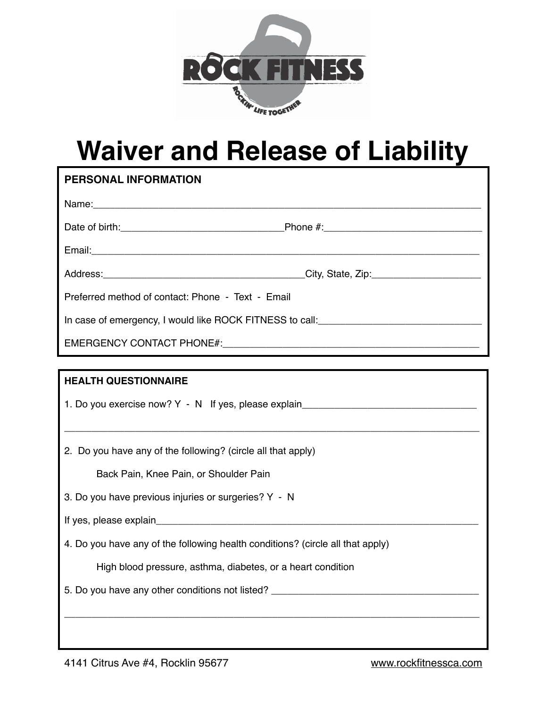

## **Waiver and Release of Liability**

| PERSONAL INFORMATION                                                              |  |  |
|-----------------------------------------------------------------------------------|--|--|
|                                                                                   |  |  |
|                                                                                   |  |  |
|                                                                                   |  |  |
|                                                                                   |  |  |
| Preferred method of contact: Phone - Text - Email                                 |  |  |
| In case of emergency, I would like ROCK FITNESS to call:________________________  |  |  |
|                                                                                   |  |  |
|                                                                                   |  |  |
| <b>HEALTH QUESTIONNAIRE</b>                                                       |  |  |
| 1. Do you exercise now? Y - N If yes, please explain_____________________________ |  |  |
| 2. Do you have any of the following? (circle all that apply)                      |  |  |
| Back Pain, Knee Pain, or Shoulder Pain                                            |  |  |
| 3. Do you have previous injuries or surgeries? Y - N                              |  |  |
|                                                                                   |  |  |
| 4. Do you have any of the following health conditions? (circle all that apply)    |  |  |
| High blood pressure, asthma, diabetes, or a heart condition                       |  |  |
|                                                                                   |  |  |
|                                                                                   |  |  |

4141 Citrus Ave #4, Rocklin 95677 [www.rockfitnessca.com](http://www.rockfitnessca.com)